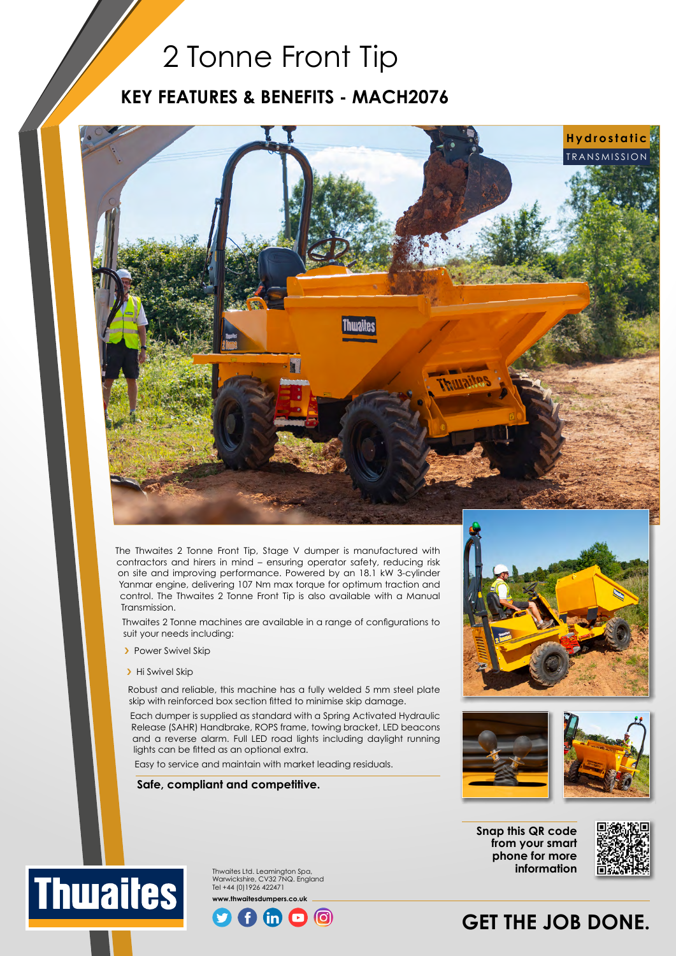## 2 Tonne Front Tip

### **KEY FEATURES & BENEFITS - MACH2076**



The Thwaites 2 Tonne Front Tip, Stage V dumper is manufactured with contractors and hirers in mind – ensuring operator safety, reducing risk on site and improving performance. Powered by an 18.1 kW 3-cylinder Yanmar engine, delivering 107 Nm max torque for optimum traction and control. The Thwaites 2 Tonne Front Tip is also available with a Manual Transmission.

Thwaites 2 Tonne machines are available in a range of configurations to suit your needs including:

- **>** Power Swivel Skip
- > Hi Swivel Skip

**Thuaites** 

Robust and reliable, this machine has a fully welded 5 mm steel plate skip with reinforced box section fitted to minimise skip damage.

Each dumper is supplied as standard with a Spring Activated Hydraulic Release (SAHR) Handbrake, ROPS frame, towing bracket, LED beacons and a reverse alarm. Full LED road lights including daylight running lights can be fitted as an optional extra.

Easy to service and maintain with market leading residuals.

#### **Safe, compliant and competitive.**





**Snap this QR code from your smart phone for more information**



Thwaites Ltd. Leamington Spa, Warwickshire, CV32 7NQ. England Tel +44 (0)1926 422471 **www.thwaitesdumpers.co.uk**



## **GET THE JOB DONE.**